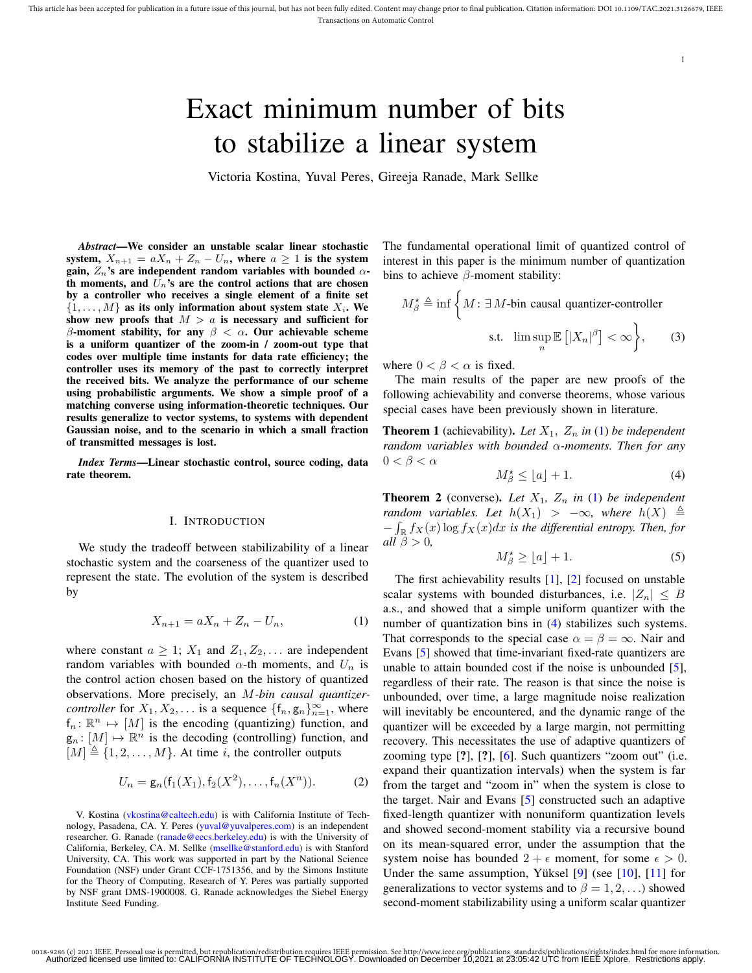# Exact minimum number of bits to stabilize a linear system

Victoria Kostina, Yuval Peres, Gireeja Ranade, Mark Sellke

*Abstract*—We consider an unstable scalar linear stochastic system,  $X_{n+1} = aX_n + Z_n - U_n$ , where  $a \ge 1$  is the system gain,  $Z_n$ 's are independent random variables with bounded  $\alpha$ th moments, and  $\bar{U}_n$ 's are the control actions that are chosen by a controller who receives a single element of a finite set  $\{1, \ldots, M\}$  as its only information about system state  $X_i$ . We show new proofs that  $M > a$  is necessary and sufficient for β-moment stability, for any  $β < α$ . Our achievable scheme is a uniform quantizer of the zoom-in / zoom-out type that codes over multiple time instants for data rate efficiency; the controller uses its memory of the past to correctly interpret the received bits. We analyze the performance of our scheme using probabilistic arguments. We show a simple proof of a matching converse using information-theoretic techniques. Our results generalize to vector systems, to systems with dependent Gaussian noise, and to the scenario in which a small fraction of transmitted messages is lost.

*Index Terms*—Linear stochastic control, source coding, data rate theorem.

#### I. INTRODUCTION

We study the tradeoff between stabilizability of a linear stochastic system and the coarseness of the quantizer used to represent the state. The evolution of the system is described by

$$
X_{n+1} = aX_n + Z_n - U_n,
$$
 (1)

where constant  $a \geq 1$ ;  $X_1$  and  $Z_1, Z_2, \ldots$  are independent random variables with bounded  $\alpha$ -th moments, and  $U_n$  is the control action chosen based on the history of quantized observations. More precisely, an M*-bin causal quantizercontroller* for  $X_1, X_2, \ldots$  is a sequence  $\{f_n, g_n\}_{n=1}^{\infty}$ , where  $f_n: \mathbb{R}^n \mapsto [M]$  is the encoding (quantizing) function, and  $g_n: [M] \mapsto \mathbb{R}^n$  is the decoding (controlling) function, and  $[M] \triangleq \{1, 2, \ldots, M\}$ . At time i, the controller outputs

$$
U_n = \mathsf{g}_n(\mathsf{f}_1(X_1), \mathsf{f}_2(X^2), \dots, \mathsf{f}_n(X^n)). \tag{2}
$$

V. Kostina (vkostina@caltech.edu) is with California Institute of Technology, Pasadena, CA. Y. Peres (yuval@yuvalperes.com) is an independent researcher. G. Ranade (ranade@eecs.berkeley.edu) is with the University of California, Berkeley, CA. M. Sellke (msellke@stanford.edu) is with Stanford University, CA. This work was supported in part by the National Science Foundation (NSF) under Grant CCF-1751356, and by the Simons Institute for the Theory of Computing. Research of Y. Peres was partially supported by NSF grant DMS-1900008. G. Ranade acknowledges the Siebel Energy Institute Seed Funding.

The fundamental operational limit of quantized control of interest in this paper is the minimum number of quantization bins to achieve  $\beta$ -moment stability:

$$
M_{\beta}^{\star} \triangleq \inf \left\{ M : \exists M \text{-bin causal quantizer-controler} \right\}
$$
  
s.t. 
$$
\limsup_{n} \mathbb{E} \left[ |X_n|^{\beta} \right] < \infty \right\}, \qquad (3)
$$

where  $0 < \beta < \alpha$  is fixed.

The main results of the paper are new proofs of the following achievability and converse theorems, whose various special cases have been previously shown in literature.

**Theorem 1** (achievability). Let  $X_1$ ,  $Z_n$  in (1) be independent *random variables with bounded* α*-moments. Then for any*  $0 < \beta < \alpha$ 

$$
M_{\beta}^{\star} \leq \lfloor a \rfloor + 1. \tag{4}
$$

1

**Theorem 2** (converse). Let  $X_1$ ,  $Z_n$  in (1) be independent *random variables. Let*  $h(X_1) > -\infty$ *, where*  $h(X) \triangleq$ − R R fX(x) log fX(x)dx *is the differential entropy. Then, for all*  $\beta > 0$ *,* 

$$
M_{\beta}^{\star} \ge [a] + 1. \tag{5}
$$

The first achievability results [1], [2] focused on unstable scalar systems with bounded disturbances, i.e.  $|Z_n| \leq B$ a.s., and showed that a simple uniform quantizer with the number of quantization bins in (4) stabilizes such systems. That corresponds to the special case  $\alpha = \beta = \infty$ . Nair and Evans [5] showed that time-invariant fixed-rate quantizers are unable to attain bounded cost if the noise is unbounded [5], regardless of their rate. The reason is that since the noise is unbounded, over time, a large magnitude noise realization will inevitably be encountered, and the dynamic range of the quantizer will be exceeded by a large margin, not permitting recovery. This necessitates the use of adaptive quantizers of zooming type  $[?]$ ,  $[?]$ ,  $[6]$ . Such quantizers "zoom out" (i.e. expand their quantization intervals) when the system is far from the target and "zoom in" when the system is close to the target. Nair and Evans [5] constructed such an adaptive fixed-length quantizer with nonuniform quantization levels and showed second-moment stability via a recursive bound on its mean-squared error, under the assumption that the system noise has bounded  $2 + \epsilon$  moment, for some  $\epsilon > 0$ . Under the same assumption, Yüksel  $[9]$  (see  $[10]$ ,  $[11]$  for generalizations to vector systems and to  $\beta = 1, 2, \ldots$ ) showed second-moment stabilizability using a uniform scalar quantizer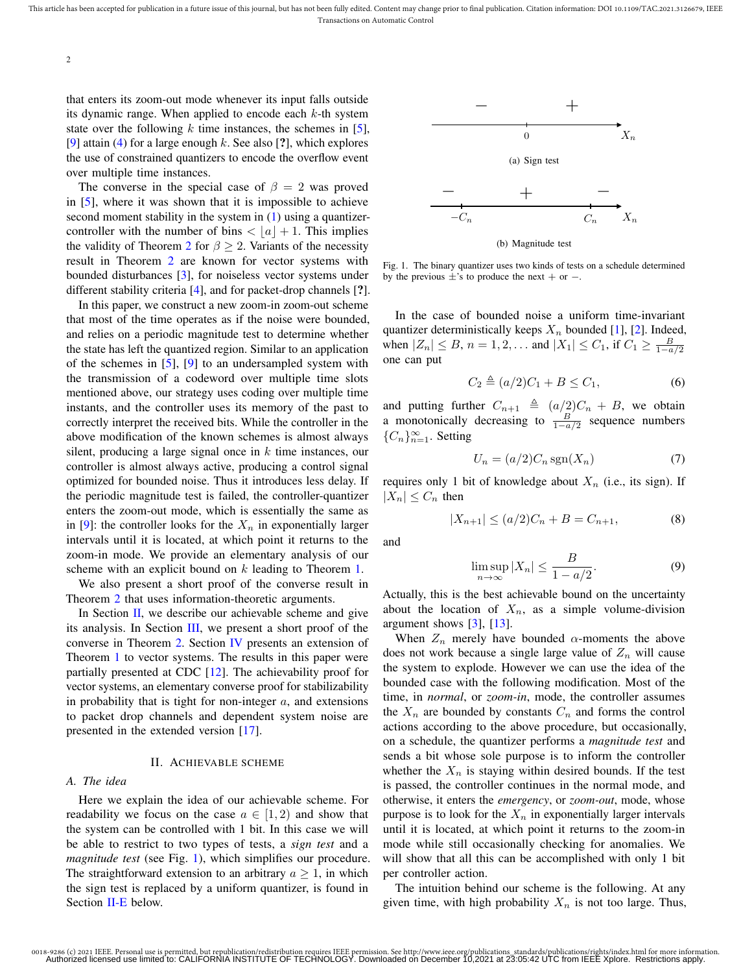that enters its zoom-out mode whenever its input falls outside its dynamic range. When applied to encode each  $k$ -th system state over the following  $k$  time instances, the schemes in [5], [9] attain (4) for a large enough k. See also [?], which explores the use of constrained quantizers to encode the overflow event over multiple time instances.

The converse in the special case of  $\beta = 2$  was proved in [5], where it was shown that it is impossible to achieve second moment stability in the system in  $(1)$  using a quantizercontroller with the number of bins  $\langle |a| + 1$ . This implies the validity of Theorem 2 for  $\beta \geq 2$ . Variants of the necessity result in Theorem 2 are known for vector systems with bounded disturbances [3], for noiseless vector systems under different stability criteria [4], and for packet-drop channels [?].

In this paper, we construct a new zoom-in zoom-out scheme that most of the time operates as if the noise were bounded, and relies on a periodic magnitude test to determine whether the state has left the quantized region. Similar to an application of the schemes in [5], [9] to an undersampled system with the transmission of a codeword over multiple time slots mentioned above, our strategy uses coding over multiple time instants, and the controller uses its memory of the past to correctly interpret the received bits. While the controller in the above modification of the known schemes is almost always silent, producing a large signal once in  $k$  time instances, our controller is almost always active, producing a control signal optimized for bounded noise. Thus it introduces less delay. If the periodic magnitude test is failed, the controller-quantizer enters the zoom-out mode, which is essentially the same as in [9]: the controller looks for the  $X_n$  in exponentially larger intervals until it is located, at which point it returns to the zoom-in mode. We provide an elementary analysis of our scheme with an explicit bound on k leading to Theorem 1.

We also present a short proof of the converse result in Theorem 2 that uses information-theoretic arguments.

In Section  $II$ , we describe our achievable scheme and give its analysis. In Section III, we present a short proof of the converse in Theorem 2. Section IV presents an extension of Theorem 1 to vector systems. The results in this paper were partially presented at CDC [12]. The achievability proof for vector systems, an elementary converse proof for stabilizability in probability that is tight for non-integer  $a$ , and extensions to packet drop channels and dependent system noise are presented in the extended version [17].

#### II. ACHIEVABLE SCHEME

### *A. The idea*

Here we explain the idea of our achievable scheme. For readability we focus on the case  $a \in [1, 2)$  and show that the system can be controlled with 1 bit. In this case we will be able to restrict to two types of tests, a *sign test* and a *magnitude test* (see Fig. 1), which simplifies our procedure. The straightforward extension to an arbitrary  $a \geq 1$ , in which the sign test is replaced by a uniform quantizer, is found in Section II-E below.



(b) Magnitude test

Fig. 1. The binary quantizer uses two kinds of tests on a schedule determined by the previous  $\pm$ 's to produce the next + or −.

In the case of bounded noise a uniform time-invariant quantizer deterministically keeps  $X_n$  bounded [1], [2]. Indeed, when  $|Z_n| \leq B$ ,  $n = 1, 2, ...$  and  $|X_1| \leq C_1$ , if  $C_1 \geq \frac{B}{1 - \alpha/2}$ one can put

$$
C_2 \triangleq (a/2)C_1 + B \le C_1, \tag{6}
$$

and putting further  $C_{n+1} \triangleq (a/2)C_n + B$ , we obtain a monotonically decreasing to  $\frac{B}{1-a/2}$  sequence numbers { $C_n$ }<sup>∞</sup><sub>n=1</sub>. Setting

$$
U_n = (a/2)C_n \operatorname{sgn}(X_n) \tag{7}
$$

requires only 1 bit of knowledge about  $X_n$  (i.e., its sign). If  $|X_n| \leq C_n$  then

$$
|X_{n+1}| \le (a/2)C_n + B = C_{n+1},
$$
\n(8)

and

$$
\limsup_{n \to \infty} |X_n| \le \frac{B}{1 - a/2}.
$$
 (9)

Actually, this is the best achievable bound on the uncertainty about the location of  $X_n$ , as a simple volume-division argument shows  $[3]$ ,  $[13]$ .

When  $Z_n$  merely have bounded  $\alpha$ -moments the above does not work because a single large value of  $Z_n$  will cause the system to explode. However we can use the idea of the bounded case with the following modification. Most of the time, in *normal*, or *zoom-in*, mode, the controller assumes the  $X_n$  are bounded by constants  $C_n$  and forms the control actions according to the above procedure, but occasionally, on a schedule, the quantizer performs a *magnitude test* and sends a bit whose sole purpose is to inform the controller whether the  $X_n$  is staying within desired bounds. If the test is passed, the controller continues in the normal mode, and otherwise, it enters the *emergency*, or *zoom-out*, mode, whose purpose is to look for the  $X_n$  in exponentially larger intervals until it is located, at which point it returns to the zoom-in mode while still occasionally checking for anomalies. We will show that all this can be accomplished with only 1 bit per controller action.

The intuition behind our scheme is the following. At any given time, with high probability  $X_n$  is not too large. Thus,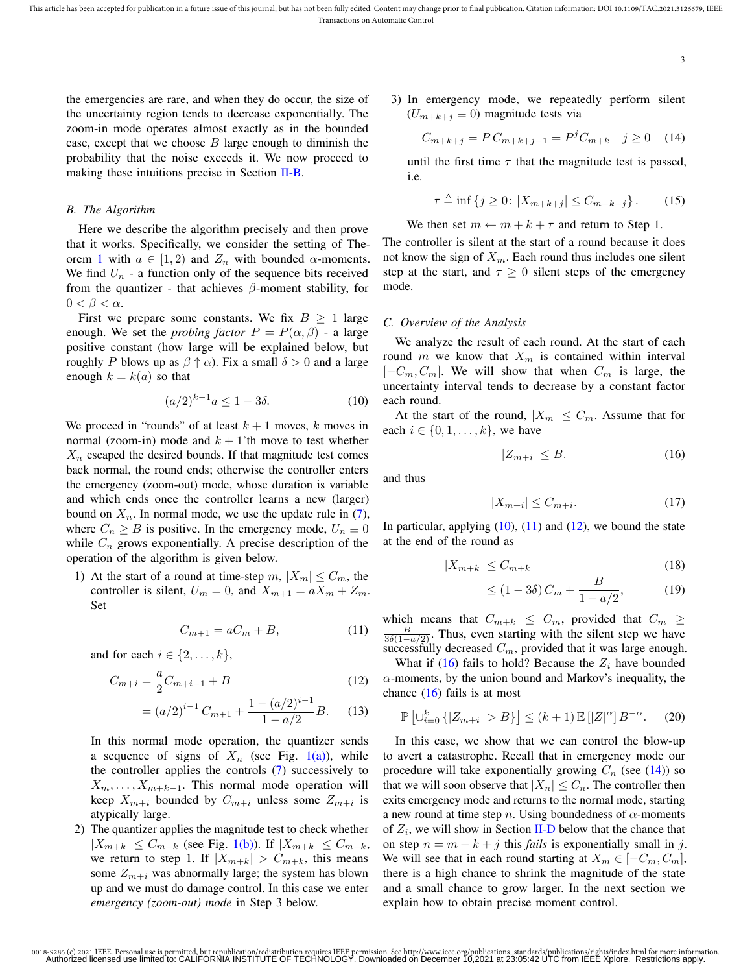the emergencies are rare, and when they do occur, the size of the uncertainty region tends to decrease exponentially. The zoom-in mode operates almost exactly as in the bounded case, except that we choose  $B$  large enough to diminish the probability that the noise exceeds it. We now proceed to making these intuitions precise in Section II-B.

# *B. The Algorithm*

Here we describe the algorithm precisely and then prove that it works. Specifically, we consider the setting of Theorem 1 with  $a \in [1, 2)$  and  $Z_n$  with bounded  $\alpha$ -moments. We find  $U_n$  - a function only of the sequence bits received from the quantizer - that achieves  $\beta$ -moment stability, for  $0 < \beta < \alpha$ .

First we prepare some constants. We fix  $B \ge 1$  large enough. We set the *probing factor*  $P = P(\alpha, \beta)$  - a large positive constant (how large will be explained below, but roughly P blows up as  $\beta \uparrow \alpha$ ). Fix a small  $\delta > 0$  and a large enough  $k = k(a)$  so that

$$
(a/2)^{k-1}a \le 1 - 3\delta. \tag{10}
$$

We proceed in "rounds" of at least  $k + 1$  moves, k moves in normal (zoom-in) mode and  $k + 1$ 'th move to test whether  $X_n$  escaped the desired bounds. If that magnitude test comes back normal, the round ends; otherwise the controller enters the emergency (zoom-out) mode, whose duration is variable and which ends once the controller learns a new (larger) bound on  $X_n$ . In normal mode, we use the update rule in (7), where  $C_n \geq B$  is positive. In the emergency mode,  $U_n \equiv 0$ while  $C_n$  grows exponentially. A precise description of the operation of the algorithm is given below.

1) At the start of a round at time-step  $m, |X_m| \leq C_m$ , the controller is silent,  $U_m = 0$ , and  $X_{m+1} = aX_m + Z_m$ . Set

$$
C_{m+1} = aC_m + B,\tag{11}
$$

and for each  $i \in \{2, \ldots, k\},\$ 

$$
C_{m+i} = \frac{a}{2}C_{m+i-1} + B
$$
\n(12)

$$
= (a/2)^{i-1} C_{m+1} + \frac{1 - (a/2)^{i-1}}{1 - a/2} B.
$$
 (13)

In this normal mode operation, the quantizer sends a sequence of signs of  $X_n$  (see Fig. 1(a)), while the controller applies the controls (7) successively to  $X_m, \ldots, X_{m+k-1}$ . This normal mode operation will keep  $X_{m+i}$  bounded by  $C_{m+i}$  unless some  $Z_{m+i}$  is atypically large.

2) The quantizer applies the magnitude test to check whether  $|X_{m+k}| \leq C_{m+k}$  (see Fig. 1(b)). If  $|X_{m+k}| \leq C_{m+k}$ , we return to step 1. If  $|X_{m+k}| > C_{m+k}$ , this means some  $Z_{m+i}$  was abnormally large; the system has blown up and we must do damage control. In this case we enter *emergency (zoom-out) mode* in Step 3 below.

3) In emergency mode, we repeatedly perform silent  $(U_{m+k+j} \equiv 0)$  magnitude tests via

$$
C_{m+k+j} = PC_{m+k+j-1} = P^{j}C_{m+k} \quad j \ge 0 \quad (14)
$$

until the first time  $\tau$  that the magnitude test is passed, i.e.

$$
\tau \triangleq \inf \{ j \ge 0 \colon |X_{m+k+j}| \le C_{m+k+j} \} . \tag{15}
$$

We then set  $m \leftarrow m + k + \tau$  and return to Step 1.

The controller is silent at the start of a round because it does not know the sign of  $X_m$ . Each round thus includes one silent step at the start, and  $\tau \geq 0$  silent steps of the emergency mode.

# *C. Overview of the Analysis*

We analyze the result of each round. At the start of each round m we know that  $X_m$  is contained within interval  $[-C_m, C_m]$ . We will show that when  $C_m$  is large, the uncertainty interval tends to decrease by a constant factor each round.

At the start of the round,  $|X_m| \leq C_m$ . Assume that for each  $i \in \{0, 1, \ldots, k\}$ , we have

$$
|Z_{m+i}| \le B. \tag{16}
$$

and thus

$$
|X_{m+i}| \le C_{m+i}.\tag{17}
$$

In particular, applying  $(10)$ ,  $(11)$  and  $(12)$ , we bound the state at the end of the round as

$$
|X_{m+k}| \le C_{m+k} \tag{18}
$$

$$
\leq (1 - 3\delta) C_m + \frac{B}{1 - a/2},
$$
 (19)

which means that  $C_{m+k} \leq C_m$ , provided that  $C_m \geq$  $\frac{B}{3\delta(1-a/2)}$ . Thus, even starting with the silent step we have successfully decreased  $C_m$ , provided that it was large enough.

What if (16) fails to hold? Because the  $Z_i$  have bounded  $\alpha$ -moments, by the union bound and Markov's inequality, the chance  $(16)$  fails is at most

$$
\mathbb{P}\left[\cup_{i=0}^{k} \{|Z_{m+i}| > B\}\right] \le (k+1) \mathbb{E}\left[|Z|^{\alpha}\right] B^{-\alpha}.
$$
 (20)

In this case, we show that we can control the blow-up to avert a catastrophe. Recall that in emergency mode our procedure will take exponentially growing  $C_n$  (see (14)) so that we will soon observe that  $|X_n| \leq C_n$ . The controller then exits emergency mode and returns to the normal mode, starting a new round at time step n. Using boundedness of  $\alpha$ -moments of  $Z_i$ , we will show in Section II-D below that the chance that on step  $n = m + k + j$  this *fails* is exponentially small in j. We will see that in each round starting at  $X_m \in [-C_m, C_m]$ , there is a high chance to shrink the magnitude of the state and a small chance to grow larger. In the next section we explain how to obtain precise moment control.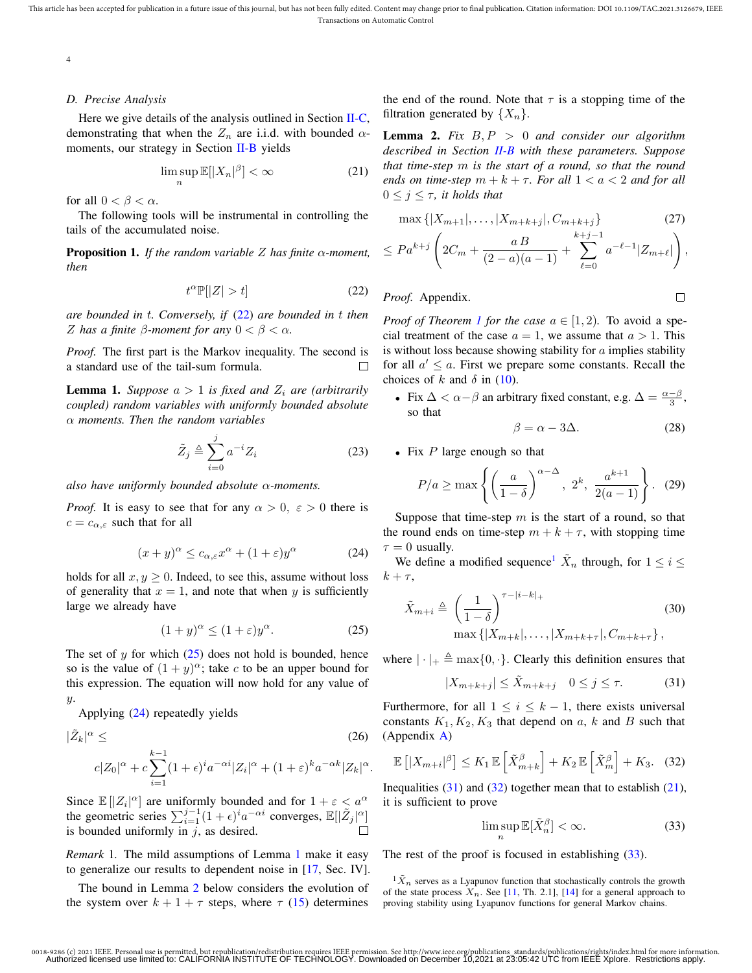# *D. Precise Analysis*

Here we give details of the analysis outlined in Section II-C, demonstrating that when the  $Z_n$  are i.i.d. with bounded  $\alpha$ moments, our strategy in Section II-B yields

$$
\limsup_{n} \mathbb{E}[|X_n|^{\beta}] < \infty \tag{21}
$$

for all  $0 < \beta < \alpha$ .

The following tools will be instrumental in controlling the tails of the accumulated noise.

Proposition 1. *If the random variable* Z *has finite* α*-moment, then*

$$
t^{\alpha} \mathbb{P}[|Z| > t] \tag{22}
$$

*are bounded in* t*. Conversely, if* (22) *are bounded in* t *then* Z has a finite  $\beta$ -moment for any  $0 < \beta < \alpha$ .

*Proof.* The first part is the Markov inequality. The second is a standard use of the tail-sum formula. П

**Lemma 1.** *Suppose*  $a > 1$  *is fixed and*  $Z_i$  *are (arbitrarily coupled) random variables with uniformly bounded absolute* α *moments. Then the random variables*

$$
\tilde{Z}_j \triangleq \sum_{i=0}^j a^{-i} Z_i \tag{23}
$$

*also have uniformly bounded absolute* α*-moments.*

*Proof.* It is easy to see that for any  $\alpha > 0$ ,  $\varepsilon > 0$  there is  $c = c_{\alpha,\varepsilon}$  such that for all

$$
(x+y)^{\alpha} \le c_{\alpha,\varepsilon} x^{\alpha} + (1+\varepsilon)y^{\alpha} \tag{24}
$$

holds for all  $x, y \ge 0$ . Indeed, to see this, assume without loss of generality that  $x = 1$ , and note that when y is sufficiently large we already have

$$
(1+y)^{\alpha} \le (1+\varepsilon)y^{\alpha}.
$$
 (25)

The set of  $y$  for which  $(25)$  does not hold is bounded, hence so is the value of  $(1 + y)^{\alpha}$ ; take c to be an upper bound for this expression. The equation will now hold for any value of  $\boldsymbol{y}$ .

Applying (24) repeatedly yields

$$
|\tilde{Z}_k|^{\alpha} \leq \tag{26}
$$
  

$$
c|Z_0|^{\alpha} + c \sum_{i=1}^{k-1} (1+\epsilon)^i a^{-\alpha i} |Z_i|^{\alpha} + (1+\epsilon)^k a^{-\alpha k} |Z_k|^{\alpha}.
$$

Since  $\mathbb{E}[|Z_i|^{\alpha}]$  are uniformly bounded and for  $1 + \varepsilon < a^{\alpha}$ the geometric series  $\sum_{i=1}^{j-1} (1+\epsilon)^i a^{-\alpha i}$  converges,  $\mathbb{E}[|\tilde{Z}_j|^{\alpha}]$ is bounded uniformly in  $j$ , as desired.

*Remark* 1*.* The mild assumptions of Lemma 1 make it easy to generalize our results to dependent noise in [17, Sec. IV].

The bound in Lemma 2 below considers the evolution of the system over  $k + 1 + \tau$  steps, where  $\tau$  (15) determines the end of the round. Note that  $\tau$  is a stopping time of the filtration generated by  $\{X_n\}$ .

Lemma 2. *Fix* B, P > 0 *and consider our algorithm described in Section II-B with these parameters. Suppose that time-step* m *is the start of a round, so that the round ends on time-step*  $m + k + \tau$ *. For all*  $1 < a < 2$  *and for all*  $0 \leq j \leq \tau$ , *it holds that* 

$$
\max\{|X_{m+1}|,\ldots,|X_{m+k+j}|,C_{m+k+j}\}\
$$
\n
$$
\leq Pa^{k+j}\left(2C_m+\frac{aB}{(2-a)(a-1)}+\sum_{\ell=0}^{k+j-1}a^{-\ell-1}|Z_{m+\ell}|\right),
$$
\n(27)

*Proof.* Appendix.

*Proof of Theorem 1 for the case*  $a \in [1, 2)$ . To avoid a special treatment of the case  $a = 1$ , we assume that  $a > 1$ . This is without loss because showing stability for  $\alpha$  implies stability for all  $a' \leq a$ . First we prepare some constants. Recall the choices of k and  $\delta$  in (10).

• Fix  $\Delta < \alpha - \beta$  an arbitrary fixed constant, e.g.  $\Delta = \frac{\alpha - \beta}{3}$ , so that

$$
\beta = \alpha - 3\Delta. \tag{28}
$$

 $\Box$ 

• Fix  $P$  large enough so that

$$
P/a \ge \max\left\{ \left(\frac{a}{1-\delta}\right)^{\alpha-\Delta}, 2^k, \frac{a^{k+1}}{2(a-1)} \right\}. (29)
$$

Suppose that time-step  $m$  is the start of a round, so that the round ends on time-step  $m + k + \tau$ , with stopping time  $\tau = 0$  usually.

We define a modified sequence<sup>1</sup>  $\tilde{X}_n$  through, for  $1 \leq i \leq$  $k + \tau$ ,

$$
\tilde{X}_{m+i} \triangleq \left(\frac{1}{1-\delta}\right)^{\tau-|i-k|+} \tag{30}
$$
\n
$$
\max\{|X_{m+k}|,\ldots,|X_{m+k+\tau}|,C_{m+k+\tau}\},
$$

where  $|\cdot|_+ \triangleq \max\{0, \cdot\}.$  Clearly this definition ensures that

$$
|X_{m+k+j}| \le \tilde{X}_{m+k+j} \quad 0 \le j \le \tau. \tag{31}
$$

Furthermore, for all  $1 \leq i \leq k-1$ , there exists universal constants  $K_1, K_2, K_3$  that depend on a, k and B such that (Appendix A)

$$
\mathbb{E}\left[|X_{m+i}|^{\beta}\right] \le K_1 \mathbb{E}\left[\tilde{X}_{m+k}^{\beta}\right] + K_2 \mathbb{E}\left[\tilde{X}_m^{\beta}\right] + K_3. \quad (32)
$$

Inequalities  $(31)$  and  $(32)$  together mean that to establish  $(21)$ , it is sufficient to prove

$$
\limsup_{n} \mathbb{E}[\tilde{X}_n^{\beta}] < \infty. \tag{33}
$$

The rest of the proof is focused in establishing  $(33)$ .

 ${}^{1}\tilde{X}_n$  serves as a Lyapunov function that stochastically controls the growth of the state process  $X_n$ . See [11, Th. 2.1], [14] for a general approach to proving stability using Lyapunov functions for general Markov chains.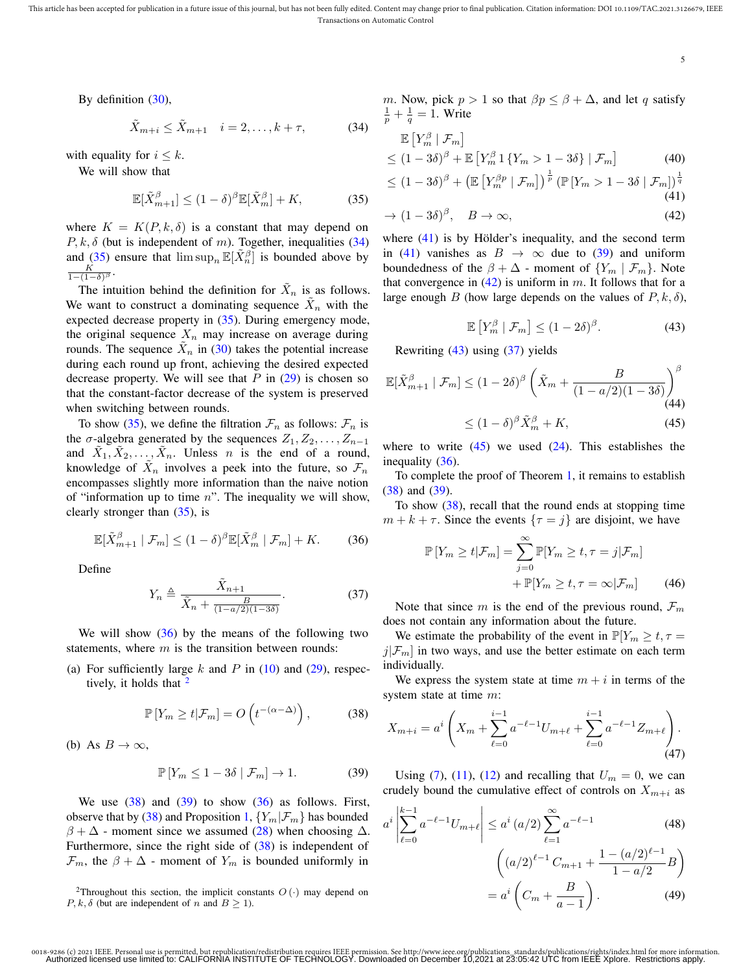$\leq$ 

5

By definition (30),

$$
\tilde{X}_{m+i} \le \tilde{X}_{m+1} \quad i = 2, \dots, k+\tau,\tag{34}
$$

with equality for  $i \leq k$ .

We will show that

$$
\mathbb{E}[\tilde{X}_{m+1}^{\beta}] \le (1 - \delta)^{\beta} \mathbb{E}[\tilde{X}_{m}^{\beta}] + K,
$$
 (35)

where  $K = K(P, k, \delta)$  is a constant that may depend on  $P, k, \delta$  (but is independent of m). Together, inequalities (34) and (35) ensure that  $\limsup_n \mathbb{E}[\tilde{X}_n^{\beta}]$  is bounded above by  $\frac{K}{1-(1-\delta)^{\beta}}$ .

The intuition behind the definition for  $\tilde{X}_n$  is as follows. We want to construct a dominating sequence  $\tilde{X}_n$  with the expected decrease property in (35). During emergency mode, the original sequence  $X_n$  may increase on average during rounds. The sequence  $\tilde{X}_n$  in (30) takes the potential increase during each round up front, achieving the desired expected decrease property. We will see that  $P$  in  $(29)$  is chosen so that the constant-factor decrease of the system is preserved when switching between rounds.

To show (35), we define the filtration  $\mathcal{F}_n$  as follows:  $\mathcal{F}_n$  is the  $\sigma$ -algebra generated by the sequences  $Z_1, Z_2, \ldots, Z_{n-1}$ and  $\tilde{X}_1, \tilde{X}_2, \ldots, \tilde{X}_n$ . Unless n is the end of a round, knowledge of  $\tilde{X}_n$  involves a peek into the future, so  $\mathcal{F}_n$ encompasses slightly more information than the naive notion of "information up to time  $n$ ". The inequality we will show, clearly stronger than (35), is

$$
\mathbb{E}[\tilde{X}_{m+1}^{\beta} \mid \mathcal{F}_m] \le (1 - \delta)^{\beta} \mathbb{E}[\tilde{X}_m^{\beta} \mid \mathcal{F}_m] + K. \tag{36}
$$

Define

$$
Y_n \triangleq \frac{\tilde{X}_{n+1}}{\tilde{X}_n + \frac{B}{(1 - a/2)(1 - 3\delta)}}.\tag{37}
$$

We will show  $(36)$  by the means of the following two statements, where  $m$  is the transition between rounds:

(a) For sufficiently large  $k$  and  $P$  in (10) and (29), respectively, it holds that

$$
\mathbb{P}\left[Y_m \ge t | \mathcal{F}_m\right] = O\left(t^{-(\alpha - \Delta)}\right),\tag{38}
$$

(b) As 
$$
B \to \infty
$$
,

$$
\mathbb{P}\left[Y_m \le 1 - 3\delta \mid \mathcal{F}_m\right] \to 1. \tag{39}
$$

We use  $(38)$  and  $(39)$  to show  $(36)$  as follows. First, observe that by (38) and Proposition 1,  ${Y_m|\mathcal{F}_m}$  has bounded  $\beta + \Delta$  - moment since we assumed (28) when choosing  $\Delta$ . Furthermore, since the right side of (38) is independent of  $\mathcal{F}_m$ , the  $\beta + \Delta$  - moment of  $Y_m$  is bounded uniformly in

<sup>2</sup>Throughout this section, the implicit constants  $O(·)$  may depend on  $P, k, \delta$  (but are independent of n and  $B \ge 1$ ).

m. Now, pick  $p > 1$  so that  $\beta p \le \beta + \Delta$ , and let q satisfy  $\frac{1}{p} + \frac{1}{q} = 1$ . Write

$$
\mathbb{E}\left[Y_m^{\beta} \mid \mathcal{F}_m\right] \le \left(1 - 3\delta\right)^{\beta} + \mathbb{E}\left[Y_m^{\beta} \mathbf{1}\left\{Y_m > 1 - 3\delta\right\} \mid \mathcal{F}_m\right] \tag{40}
$$

$$
(1 - 3\delta)^{\beta} + \left(\mathbb{E}\left[Y_m^{\beta p} \mid \mathcal{F}_m\right]\right)^{\frac{1}{p}} \left(\mathbb{P}\left[Y_m > 1 - 3\delta \mid \mathcal{F}_m\right]\right)^{\frac{1}{q}}
$$
\n(41)

$$
\rightarrow (1 - 3\delta)^{\beta}, \quad B \rightarrow \infty,
$$
\n(42)

where  $(41)$  is by Hölder's inequality, and the second term in (41) vanishes as  $B \to \infty$  due to (39) and uniform boundedness of the  $\beta + \Delta$  - moment of  $\{Y_m \mid \mathcal{F}_m\}$ . Note that convergence in  $(42)$  is uniform in m. It follows that for a large enough B (how large depends on the values of  $P, k, \delta$ ),

$$
\mathbb{E}\left[Y_m^{\beta} \mid \mathcal{F}_m\right] \le (1 - 2\delta)^{\beta}.
$$
 (43)

Rewriting (43) using (37) yields

$$
\mathbb{E}[\tilde{X}_{m+1}^{\beta} \mid \mathcal{F}_m] \le (1 - 2\delta)^{\beta} \left(\tilde{X}_m + \frac{B}{(1 - a/2)(1 - 3\delta)}\right)^{\beta}
$$
\n
$$
\le (1 - \delta)^{\beta} \tilde{X}_m^{\beta} + K,\tag{45}
$$

where to write  $(45)$  we used  $(24)$ . This establishes the inequality (36).

To complete the proof of Theorem 1, it remains to establish (38) and (39).

To show  $(38)$ , recall that the round ends at stopping time  $m + k + \tau$ . Since the events  $\{\tau = j\}$  are disjoint, we have

$$
\mathbb{P}\left[Y_m \ge t | \mathcal{F}_m\right] = \sum_{j=0}^{\infty} \mathbb{P}[Y_m \ge t, \tau = j | \mathcal{F}_m]
$$

$$
+ \mathbb{P}[Y_m \ge t, \tau = \infty | \mathcal{F}_m]
$$
(46)

Note that since m is the end of the previous round,  $\mathcal{F}_m$ does not contain any information about the future.

We estimate the probability of the event in  $\mathbb{P}[Y_m \geq t, \tau =$  $j|\mathcal{F}_m|$  in two ways, and use the better estimate on each term individually.

We express the system state at time  $m + i$  in terms of the system state at time  $m$ :

$$
X_{m+i} = a^i \left( X_m + \sum_{\ell=0}^{i-1} a^{-\ell-1} U_{m+\ell} + \sum_{\ell=0}^{i-1} a^{-\ell-1} Z_{m+\ell} \right). \tag{47}
$$

Using (7), (11), (12) and recalling that  $U_m = 0$ , we can crudely bound the cumulative effect of controls on  $X_{m+i}$  as

$$
a^{i} \left| \sum_{\ell=0}^{k-1} a^{-\ell-1} U_{m+\ell} \right| \le a^{i} (a/2) \sum_{\ell=1}^{\infty} a^{-\ell-1}
$$
(48)  

$$
\left( (a/2)^{\ell-1} C_{m+1} + \frac{1 - (a/2)^{\ell-1}}{1 - a/2} B \right)
$$

$$
= a^{i} \left( C_{m} + \frac{B}{a-1} \right).
$$
(49)

<sup>0018-9286 (</sup>c) 2021 IEEE. Personal use is permitted, but republication/redistribution requires IEEE permission. See http://www.ieee.org/publications\_standards/publications/rights/index.html for more information.<br>- Authorize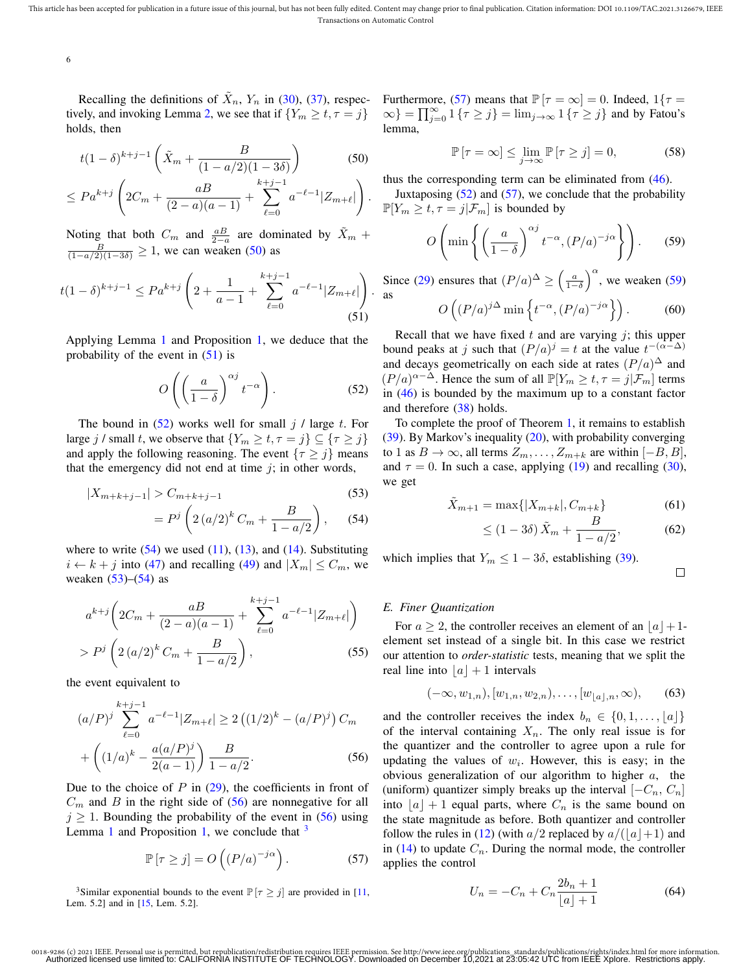tively, and invoking Lemma 2, we see that if  $\{Y_m \ge t, \tau = j\}$ holds, then

$$
t(1-\delta)^{k+j-1}\left(\tilde{X}_m + \frac{B}{(1-a/2)(1-3\delta)}\right) \tag{50}
$$

$$
\leq Pa^{k+j}\left(2C_m+\frac{aB}{(2-a)(a-1)}+\sum_{\ell=0}^{k+j-1}a^{-\ell-1}|Z_{m+\ell}|\right).
$$

Noting that both  $C_m$  and  $\frac{a}{2-a}$  are dominated by  $\tilde{X}_m + \frac{B}{(1-a/2)(1-3\delta)} \ge 1$ , we can weaken (50) as

$$
t(1-\delta)^{k+j-1} \le Pa^{k+j} \left(2 + \frac{1}{a-1} + \sum_{\ell=0}^{k+j-1} a^{-\ell-1} |Z_{m+\ell}|\right).
$$
\n(51)

Applying Lemma 1 and Proposition 1, we deduce that the probability of the event in  $(51)$  is

$$
O\left(\left(\frac{a}{1-\delta}\right)^{\alpha j}t^{-\alpha}\right).
$$
 (52)

The bound in  $(52)$  works well for small j / large t. For large j / small t, we observe that  $\{Y_m \ge t, \tau = j\} \subseteq \{\tau \ge j\}$ and apply the following reasoning. The event  $\{\tau \geq j\}$  means that the emergency did not end at time  $j$ ; in other words,

$$
|X_{m+k+j-1}| > C_{m+k+j-1}
$$
\n(53)

$$
= P^{j} \left( 2 \left( a/2 \right)^{k} C_{m} + \frac{B}{1 - a/2} \right), \quad (54)
$$

where to write  $(54)$  we used  $(11)$ ,  $(13)$ , and  $(14)$ . Substituting  $i \leftarrow k + j$  into (47) and recalling (49) and  $|X_m| \leq C_m$ , we weaken  $(53)$ – $(54)$  as

$$
a^{k+j} \left( 2C_m + \frac{aB}{(2-a)(a-1)} + \sum_{\ell=0}^{k+j-1} a^{-\ell-1} |Z_{m+\ell}| \right)
$$
  
>  $P^j \left( 2 \left( a/2 \right)^k C_m + \frac{B}{1-a/2} \right),$  (55)

the event equivalent to

$$
(a/P)^j \sum_{\ell=0}^{k+j-1} a^{-\ell-1} |Z_{m+\ell}| \ge 2 ((1/2)^k - (a/P)^j) C_m
$$
  
+ 
$$
\left( (1/a)^k - \frac{a(a/P)^j}{2(a-1)} \right) \frac{B}{1 - a/2}.
$$
 (56)

Due to the choice of  $P$  in  $(29)$ , the coefficients in front of  $C_m$  and B in the right side of (56) are nonnegative for all  $j \geq 1$ . Bounding the probability of the event in (56) using Lemma 1 and Proposition 1, we conclude that  $3$ 

$$
\mathbb{P}\left[\tau \ge j\right] = O\left(\left(P/a\right)^{-j\alpha}\right). \tag{57}
$$

<sup>3</sup>Similar exponential bounds to the event  $\mathbb{P}[\tau \geq j]$  are provided in [11, Lem. 5.2] and in [15, Lem. 5.2].

Recalling the definitions of  $\tilde{X}_n$ ,  $Y_n$  in (30), (37), respec-<br>Furthermore, (57) means that  $\mathbb{P}[\tau = \infty] = 0$ . Indeed,  $1\{\tau =$  $\{\infty\} = \prod_{j=0}^{\infty} 1 \{\tau \geq j\} = \lim_{j \to \infty} 1 \{\tau \geq j\}$  and by Fatou's lemma,

$$
\mathbb{P}\left[\tau = \infty\right] \le \lim_{j \to \infty} \mathbb{P}\left[\tau \ge j\right] = 0,\tag{58}
$$

thus the corresponding term can be eliminated from (46).

Juxtaposing  $(52)$  and  $(57)$ , we conclude that the probability  $\mathbb{P}[Y_m \geq t, \tau = j | \mathcal{F}_m]$  is bounded by

$$
O\left(\min\left\{\left(\frac{a}{1-\delta}\right)^{\alpha j}t^{-\alpha}, \left(P/a\right)^{-j\alpha}\right\}\right).
$$
 (59)

Since (29) ensures that  $(P/a)^{\Delta} \ge \left(\frac{a}{1-\delta}\right)^{\alpha}$ , we weaken (59) as

$$
O\left((P/a)^{j\Delta}\min\left\{t^{-\alpha}, (P/a)^{-j\alpha}\right\}\right).
$$
 (60)

Recall that we have fixed  $t$  and are varying  $j$ ; this upper bound peaks at j such that  $(P/a)^j = t$  at the value  $t^{-(\alpha-\Delta)}$ and decays geometrically on each side at rates  $(P/a)^{\Delta}$  and  $(P/a)^{\alpha-\Delta}$ . Hence the sum of all  $\mathbb{P}[Y_m \ge t, \tau = j | \mathcal{F}_m]$  terms in (46) is bounded by the maximum up to a constant factor and therefore (38) holds.

To complete the proof of Theorem 1, it remains to establish (39). By Markov's inequality (20), with probability converging to 1 as  $B \to \infty$ , all terms  $Z_m, \ldots, Z_{m+k}$  are within  $[-B, B]$ , and  $\tau = 0$ . In such a case, applying (19) and recalling (30), we get

$$
\tilde{X}_{m+1} = \max\{|X_{m+k}|, C_{m+k}\}\tag{61}
$$

$$
\leq (1 - 3\delta) \tilde{X}_m + \frac{B}{1 - a/2},\tag{62}
$$

which implies that  $Y_m \leq 1 - 3\delta$ , establishing (39).

 $\Box$ 

# *E. Finer Quantization*

For  $a \geq 2$ , the controller receives an element of an  $|a| + 1$ element set instead of a single bit. In this case we restrict our attention to *order-statistic* tests, meaning that we split the real line into  $|a| + 1$  intervals

$$
(-\infty, w_{1,n}), [w_{1,n}, w_{2,n}), \dots, [w_{\lfloor a \rfloor, n}, \infty), \quad (63)
$$

and the controller receives the index  $b_n \in \{0, 1, \ldots, \lfloor a \rfloor\}$ of the interval containing  $X_n$ . The only real issue is for the quantizer and the controller to agree upon a rule for updating the values of  $w_i$ . However, this is easy; in the obvious generalization of our algorithm to higher  $a$ , the (uniform) quantizer simply breaks up the interval  $[-C_n, C_n]$ into  $|a| + 1$  equal parts, where  $C_n$  is the same bound on the state magnitude as before. Both quantizer and controller follow the rules in (12) (with  $a/2$  replaced by  $a/(\vert a\vert+1)$  and in (14) to update  $C_n$ . During the normal mode, the controller applies the control

$$
U_n = -C_n + C_n \frac{2b_n + 1}{\lfloor a \rfloor + 1} \tag{64}
$$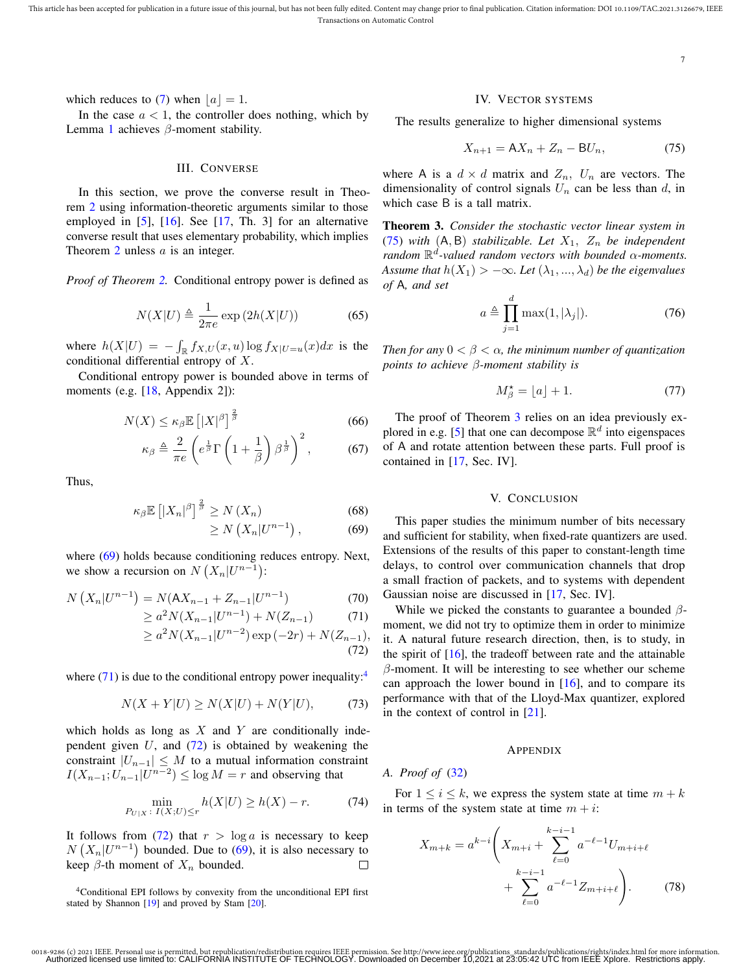which reduces to (7) when  $|a| = 1$ .

In the case  $a < 1$ , the controller does nothing, which by Lemma 1 achieves  $\beta$ -moment stability.

# III. CONVERSE

In this section, we prove the converse result in Theorem 2 using information-theoretic arguments similar to those employed in [5], [16]. See [17, Th. 3] for an alternative converse result that uses elementary probability, which implies Theorem  $2$  unless  $a$  is an integer.

*Proof of Theorem 2.* Conditional entropy power is defined as

$$
N(X|U) \triangleq \frac{1}{2\pi e} \exp(2h(X|U))
$$
 (65)

where  $h(X|U) = -\int_{\mathbb{R}} f_{X,U}(x, u) \log f_{X|U=u}(x) dx$  is the conditional differential entropy of X.

Conditional entropy power is bounded above in terms of moments (e.g. [18, Appendix 2]):

$$
N(X) \le \kappa_{\beta} \mathbb{E}\left[|X|^{\beta}\right]^{\frac{2}{\beta}} \tag{66}
$$

$$
\kappa_{\beta} \triangleq \frac{2}{\pi e} \left( e^{\frac{1}{\beta}} \Gamma \left( 1 + \frac{1}{\beta} \right) \beta^{\frac{1}{\beta}} \right)^2, \tag{67}
$$

Thus,

$$
\kappa_{\beta} \mathbb{E}\left[|X_n|^{\beta}\right]^{\frac{2}{\beta}} \ge N(X_n) \tag{68}
$$

$$
\geq N\left(X_n|U^{n-1}\right),\tag{69}
$$

where (69) holds because conditioning reduces entropy. Next, we show a recursion on  $N(X_n|U^{n-1})$ :

$$
N(X_n|U^{n-1}) = N(AX_{n-1} + Z_{n-1}|U^{n-1})
$$
\n(70)

$$
\geq a^2 N(X_{n-1}|U^{n-1}) + N(Z_{n-1}) \tag{71}
$$

$$
\geq a^2 N(X_{n-1}|U^{n-2}) \exp(-2r) + N(Z_{n-1}),
$$
\n(72)

where  $(71)$  is due to the conditional entropy power inequality:<sup>4</sup>

$$
N(X+Y|U) \ge N(X|U) + N(Y|U),\tag{73}
$$

which holds as long as  $X$  and  $Y$  are conditionally independent given  $U$ , and  $(72)$  is obtained by weakening the constraint  $|U_{n-1}| \leq M$  to a mutual information constraint  $I(X_{n-1}; U_{n-1} | U^{n-2}) \le \log M = r$  and observing that

$$
\min_{P_{U|X}: I(X;U) \le r} h(X|U) \ge h(X) - r.
$$
 (74)

It follows from (72) that  $r > \log a$  is necessary to keep  $N(X_n|U^{n-1})$  bounded. Due to (69), it is also necessary to keep  $\beta$ -th moment of  $X_n$  bounded.  $\Box$ 

#### IV. VECTOR SYSTEMS

The results generalize to higher dimensional systems

$$
X_{n+1} = AX_n + Z_n - BU_n, \qquad (75)
$$

where A is a  $d \times d$  matrix and  $Z_n$ ,  $U_n$  are vectors. The dimensionality of control signals  $U_n$  can be less than d, in which case B is a tall matrix.

Theorem 3. *Consider the stochastic vector linear system in* (75) *with*  $(A, B)$  *stabilizable. Let*  $X_1$ ,  $Z_n$  *be independent random* R d *-valued random vectors with bounded* α*-moments. Assume that*  $h(X_1) > -\infty$ *. Let*  $(\lambda_1, ..., \lambda_d)$  *be the eigenvalues of* A*, and set*

$$
a \triangleq \prod_{j=1}^{d} \max(1, |\lambda_j|). \tag{76}
$$

*Then for any* 0 < β < α*, the minimum number of quantization points to achieve* β*-moment stability is*

$$
M_{\beta}^{\star} = \lfloor a \rfloor + 1. \tag{77}
$$

The proof of Theorem 3 relies on an idea previously explored in e.g. [5] that one can decompose  $\mathbb{R}^d$  into eigenspaces of A and rotate attention between these parts. Full proof is contained in [17, Sec. IV].

## V. CONCLUSION

This paper studies the minimum number of bits necessary and sufficient for stability, when fixed-rate quantizers are used. Extensions of the results of this paper to constant-length time delays, to control over communication channels that drop a small fraction of packets, and to systems with dependent Gaussian noise are discussed in [17, Sec. IV].

While we picked the constants to guarantee a bounded  $\beta$ moment, we did not try to optimize them in order to minimize it. A natural future research direction, then, is to study, in the spirit of [16], the tradeoff between rate and the attainable  $\beta$ -moment. It will be interesting to see whether our scheme can approach the lower bound in  $[16]$ , and to compare its performance with that of the Lloyd-Max quantizer, explored in the context of control in [21].

# APPENDIX

*A. Proof of* (32)

For  $1 \leq i \leq k$ , we express the system state at time  $m + k$ in terms of the system state at time  $m + i$ :

$$
X_{m+k} = a^{k-i} \left( X_{m+i} + \sum_{\ell=0}^{k-i-1} a^{-\ell-1} U_{m+i+\ell} + \sum_{\ell=0}^{k-i-1} a^{-\ell-1} Z_{m+i+\ell} \right). \tag{78}
$$

<sup>4</sup>Conditional EPI follows by convexity from the unconditional EPI first stated by Shannon [19] and proved by Stam [20].